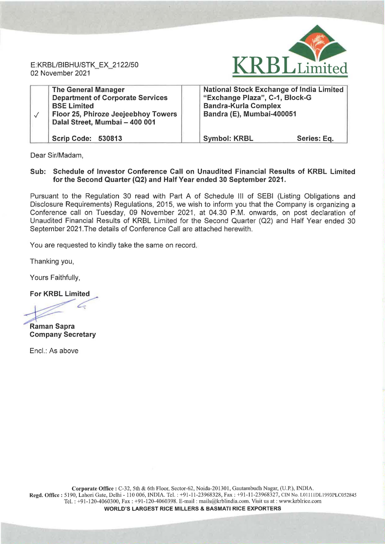RBLLimited

E: KRBL/BIBHU/STK\_EX\_2122/50 02 November 2021

| <b>The General Manager</b><br><b>Department of Corporate Services</b><br><b>BSE Limited</b><br>Floor 25, Phiroze Jeejeebhoy Towers<br>Dalal Street, Mumbai - 400 001 | <b>National Stock Exchange of India Limited</b><br>"Exchange Plaza", C-1, Block-G<br><b>Bandra-Kurla Complex</b><br>Bandra (E), Mumbai-400051 |             |
|----------------------------------------------------------------------------------------------------------------------------------------------------------------------|-----------------------------------------------------------------------------------------------------------------------------------------------|-------------|
| <b>Scrip Code: 530813</b>                                                                                                                                            | <b>Symbol: KRBL</b>                                                                                                                           | Series: Eq. |

Dear Sir/Madam,

## Sub: Schedule of Investor Conference Call on Unaudited Financial Results of KRBL Limited for the Second Quarter (Q2) and Half Year ended 30 September 2021.

Pursuant to the Regulation 30 read with Part A of Schedule Ill of SEBI (Listing Obligations and Disclosure Requirements) Regulations, 2015, we wish to inform you that the Company is organizing a Conference call on Tuesday, 09 November 2021, at 04.30 P.M. onwards, on post declaration of Unaudited Financial Results of KRBL Limited for the Second Quarter (Q2) and Half Year ended 30 September 2021.The details of Conference Call are attached herewith.

You are requested to kindly take the same on record.

Thanking you,

Yours Faithfully,

For KRBL Limited

For KRBL Limited

Raman Sapra Company Secretary

Encl.: As above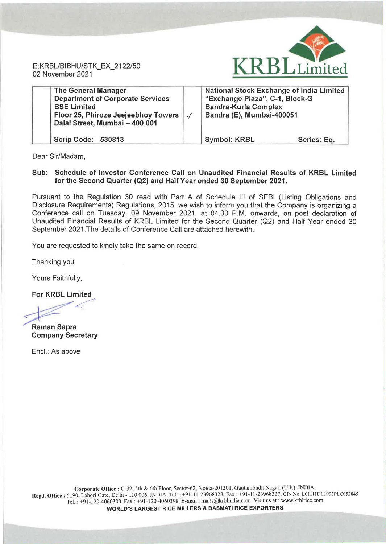E:KRBL/BIBHU/STK\_EX\_2122/50 02 November 2021



| <b>The General Manager</b><br><b>Department of Corporate Services</b><br><b>BSE Limited</b><br>Floor 25, Phiroze Jeejeebhoy Towers<br>Dalal Street, Mumbai - 400 001 | National Stock Exchange of India Limited<br>"Exchange Plaza", C-1, Block-G<br><b>Bandra-Kurla Complex</b><br>Bandra (E), Mumbai-400051 |             |
|----------------------------------------------------------------------------------------------------------------------------------------------------------------------|----------------------------------------------------------------------------------------------------------------------------------------|-------------|
| <b>Scrip Code: 530813</b>                                                                                                                                            | <b>Symbol: KRBL</b>                                                                                                                    | Series: Eq. |

Dear Sir/Madam,

## Sub: Schedule of Investor Conference Call on Unaudited Financial Results of KRBL Limited for the Second Quarter (Q2) and Half Year ended 30 September 2021.

Pursuant to the Regulation 30 read with Part A of Schedule Ill of SEBI (Listing Obligations and Disclosure Requirements) Regulations, 2015, we wish to inform you that the Company is organizing a Conference call on Tuesday, 09 November 2021, at 04.30 P.M. onwards, on post declaration of Unaudited Financial Results of KRBL Limited for the Second Quarter (Q2) and Half Year ended 30 September 2021.The details of Conference Call are attached herewith.

You are requested to kindly take the same on record.

Thanking you,

Yours Faithfully,

For KRBL Limited

 $\mathcal{L}$ 

Raman Sapra Company Secretary

Encl.: As above